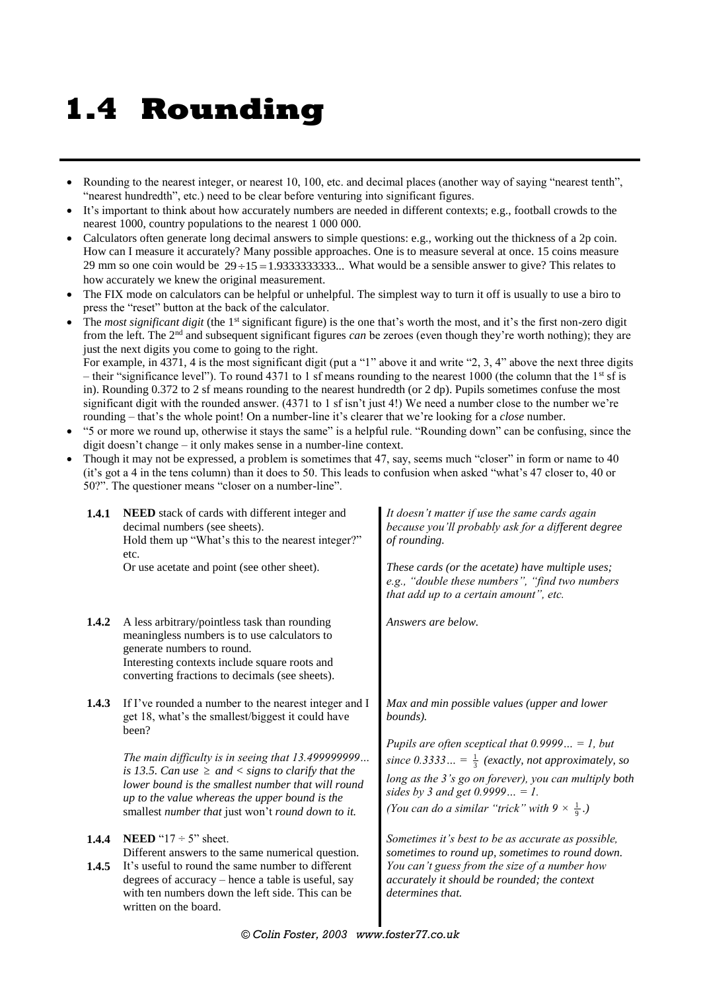## **1.4 Rounding**

- Rounding to the nearest integer, or nearest 10, 100, etc. and decimal places (another way of saying "nearest tenth", "nearest hundredth", etc.) need to be clear before venturing into significant figures.
- It's important to think about how accurately numbers are needed in different contexts; e.g., football crowds to the nearest 1000, country populations to the nearest 1 000 000.
- Calculators often generate long decimal answers to simple questions: e.g., working out the thickness of a 2p coin. How can I measure it accurately? Many possible approaches. One is to measure several at once. 15 coins measure 29 mm so one coin would be  $29 \div 15 = 1.93333333333...$  What would be a sensible answer to give? This relates to how accurately we knew the original measurement.
- The FIX mode on calculators can be helpful or unhelpful. The simplest way to turn it off is usually to use a biro to press the "reset" button at the back of the calculator.
- The *most significant digit* (the 1<sup>st</sup> significant figure) is the one that's worth the most, and it's the first non-zero digit from the left. The 2nd and subsequent significant figures *can* be zeroes (even though they're worth nothing); they are just the next digits you come to going to the right.

For example, in 4371, 4 is the most significant digit (put a "1" above it and write "2, 3, 4" above the next three digits – their "significance level"). To round 4371 to 1 sf means rounding to the nearest 1000 (the column that the 1<sup>st</sup> sf is in). Rounding 0.372 to 2 sf means rounding to the nearest hundredth (or 2 dp). Pupils sometimes confuse the most significant digit with the rounded answer. (4371 to 1 sf isn't just 4!) We need a number close to the number we're rounding – that's the whole point! On a number-line it's clearer that we're looking for a *close* number.

- "5 or more we round up, otherwise it stays the same" is a helpful rule. "Rounding down" can be confusing, since the digit doesn't change – it only makes sense in a number-line context.
- Though it may not be expressed, a problem is sometimes that 47, say, seems much "closer" in form or name to 40 (it's got a 4 in the tens column) than it does to 50. This leads to confusion when asked "what's 47 closer to, 40 or 50?". The questioner means "closer on a number-line".

| 1.4.1          | NEED stack of cards with different integer and<br>decimal numbers (see sheets).<br>Hold them up "What's this to the nearest integer?"<br>etc.<br>Or use acetate and point (see other sheet).                                                                                                                                                                                                           | It doesn't matter if use the same cards again<br>because you'll probably ask for a different degree<br>of rounding.<br>These cards (or the acetate) have multiple uses;<br>e.g., "double these numbers", "find two numbers<br>that add up to a certain amount", etc.                                                                      |
|----------------|--------------------------------------------------------------------------------------------------------------------------------------------------------------------------------------------------------------------------------------------------------------------------------------------------------------------------------------------------------------------------------------------------------|-------------------------------------------------------------------------------------------------------------------------------------------------------------------------------------------------------------------------------------------------------------------------------------------------------------------------------------------|
| 1.4.2          | A less arbitrary/pointless task than rounding<br>meaningless numbers is to use calculators to<br>generate numbers to round.<br>Interesting contexts include square roots and<br>converting fractions to decimals (see sheets).                                                                                                                                                                         | Answers are below.                                                                                                                                                                                                                                                                                                                        |
| 1.4.3          | If I've rounded a number to the nearest integer and I<br>get 18, what's the smallest/biggest it could have<br>been?<br>The main difficulty is in seeing that 13.4999999999<br>is 13.5. Can use $\geq$ and $\lt$ signs to clarify that the<br>lower bound is the smallest number that will round<br>up to the value whereas the upper bound is the<br>smallest number that just won't round down to it. | Max and min possible values (upper and lower<br>bounds).<br>Pupils are often sceptical that $0.9999 = 1$ , but<br>since 0.3333 = $\frac{1}{3}$ (exactly, not approximately, so<br>long as the 3's go on forever), you can multiply both<br>sides by 3 and get 0.9999 = 1.<br>(You can do a similar "trick" with $9 \times \frac{1}{9}$ .) |
| 1.4.4<br>1.4.5 | <b>NEED</b> " $17 \div 5$ " sheet.<br>Different answers to the same numerical question.<br>It's useful to round the same number to different<br>degrees of accuracy – hence a table is useful, say<br>with ten numbers down the left side. This can be<br>written on the board.                                                                                                                        | Sometimes it's best to be as accurate as possible,<br>sometimes to round up, sometimes to round down.<br>You can't guess from the size of a number how<br>accurately it should be rounded; the context<br>determines that.                                                                                                                |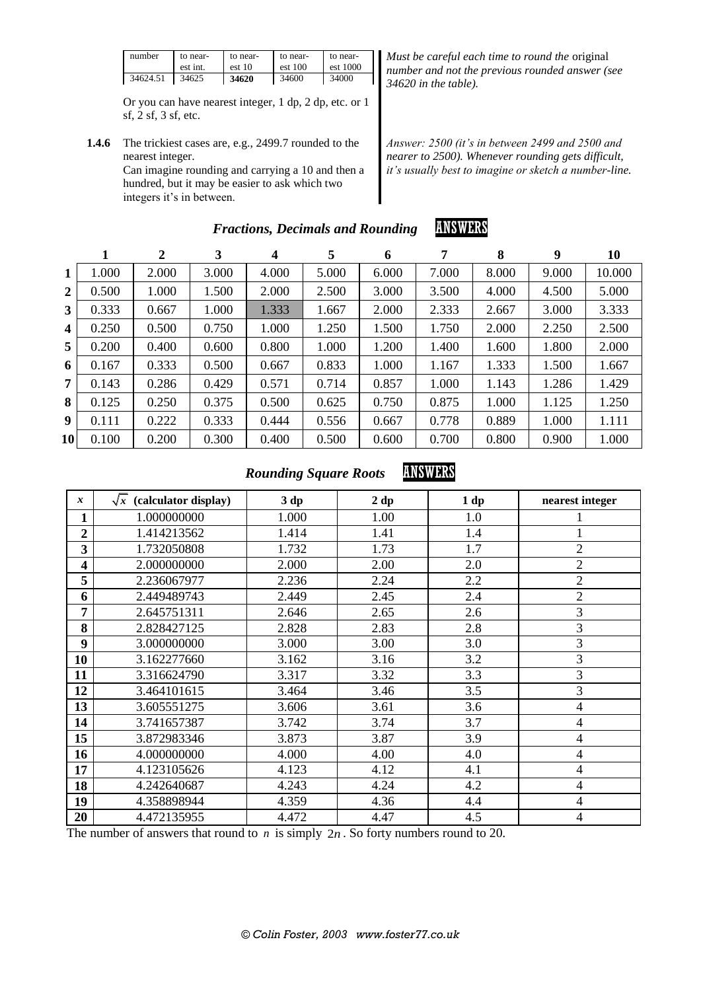| number   | to near- | to near- | to near- | to near- |
|----------|----------|----------|----------|----------|
|          | est int. | est 10   | est 100  | est 1000 |
| 34624.51 | 34625    | 34620    | 34600    | 34000    |

Or you can have nearest integer, 1 dp, 2 dp, etc. or 1 sf, 2 sf, 3 sf, etc.

**1.4.6** The trickiest cases are, e.g., 2499.7 rounded to the nearest integer. Can imagine rounding and carrying a 10 and then a hundred, but it may be easier to ask which two integers it's in between.

*Must be careful each time to round the* original *number and not the previous rounded answer (see 34620 in the table).*

*Answer: 2500 (it's in between 2499 and 2500 and nearer to 2500). Whenever rounding gets difficult, it's usually best to imagine or sketch a number-line.*

|                         |       | 2     | 3     | 4     | 5     | 6     | 7     | 8     | 9     | 10     |
|-------------------------|-------|-------|-------|-------|-------|-------|-------|-------|-------|--------|
| 1                       | 1.000 | 2.000 | 3.000 | 4.000 | 5.000 | 6.000 | 7.000 | 8.000 | 9.000 | 10.000 |
| 2                       | 0.500 | 1.000 | 1.500 | 2.000 | 2.500 | 3.000 | 3.500 | 4.000 | 4.500 | 5.000  |
| 3 <sup>1</sup>          | 0.333 | 0.667 | 1.000 | 1.333 | 1.667 | 2.000 | 2.333 | 2.667 | 3.000 | 3.333  |
| $\overline{\mathbf{4}}$ | 0.250 | 0.500 | 0.750 | 1.000 | 1.250 | 1.500 | 1.750 | 2.000 | 2.250 | 2.500  |
| 5 <sup>5</sup>          | 0.200 | 0.400 | 0.600 | 0.800 | 1.000 | 1.200 | 1.400 | 1.600 | 1.800 | 2.000  |
| 6                       | 0.167 | 0.333 | 0.500 | 0.667 | 0.833 | 1.000 | 1.167 | 1.333 | 1.500 | 1.667  |
| 7 <sup>1</sup>          | 0.143 | 0.286 | 0.429 | 0.571 | 0.714 | 0.857 | 1.000 | 1.143 | 1.286 | 1.429  |
| 8                       | 0.125 | 0.250 | 0.375 | 0.500 | 0.625 | 0.750 | 0.875 | 1.000 | 1.125 | 1.250  |
| 9                       | 0.111 | 0.222 | 0.333 | 0.444 | 0.556 | 0.667 | 0.778 | 0.889 | 1.000 | 1.111  |
| 10 <sup>1</sup>         | 0.100 | 0.200 | 0.300 | 0.400 | 0.500 | 0.600 | 0.700 | 0.800 | 0.900 | 1.000  |

### *Fractions, Decimals and Rounding* **ANSWERS**

## *Rounding Square Roots* **ANSWERS**

| $\boldsymbol{x}$ | $\sqrt{x}$ (calculator display) | 3 dp  | 2 dp | 1 dp | nearest integer |
|------------------|---------------------------------|-------|------|------|-----------------|
| 1                | 1.000000000                     | 1.000 | 1.00 | 1.0  |                 |
| $\overline{2}$   | 1.414213562                     | 1.414 | 1.41 | 1.4  |                 |
| 3                | 1.732050808                     | 1.732 | 1.73 | 1.7  | $\overline{2}$  |
| 4                | 2.000000000                     | 2.000 | 2.00 | 2.0  | $\overline{2}$  |
| 5                | 2.236067977                     | 2.236 | 2.24 | 2.2  | $\overline{2}$  |
| 6                | 2.449489743                     | 2.449 | 2.45 | 2.4  | $\overline{2}$  |
| 7                | 2.645751311                     | 2.646 | 2.65 | 2.6  | 3               |
| 8                | 2.828427125                     | 2.828 | 2.83 | 2.8  | $\overline{3}$  |
| 9                | 3.000000000                     | 3.000 | 3.00 | 3.0  | 3               |
| 10               | 3.162277660                     | 3.162 | 3.16 | 3.2  | $\overline{3}$  |
| 11               | 3.316624790                     | 3.317 | 3.32 | 3.3  | 3               |
| 12               | 3.464101615                     | 3.464 | 3.46 | 3.5  | 3               |
| 13               | 3.605551275                     | 3.606 | 3.61 | 3.6  | $\overline{4}$  |
| 14               | 3.741657387                     | 3.742 | 3.74 | 3.7  | $\overline{4}$  |
| 15               | 3.872983346                     | 3.873 | 3.87 | 3.9  | $\overline{4}$  |
| 16               | 4.000000000                     | 4.000 | 4.00 | 4.0  | $\overline{4}$  |
| 17               | 4.123105626                     | 4.123 | 4.12 | 4.1  | $\overline{4}$  |
| 18               | 4.242640687                     | 4.243 | 4.24 | 4.2  | $\overline{4}$  |
| 19               | 4.358898944                     | 4.359 | 4.36 | 4.4  | $\overline{4}$  |
| 20               | 4.472135955                     | 4.472 | 4.47 | 4.5  | $\overline{4}$  |

The number of answers that round to  $n$  is simply  $2n$ . So forty numbers round to 20.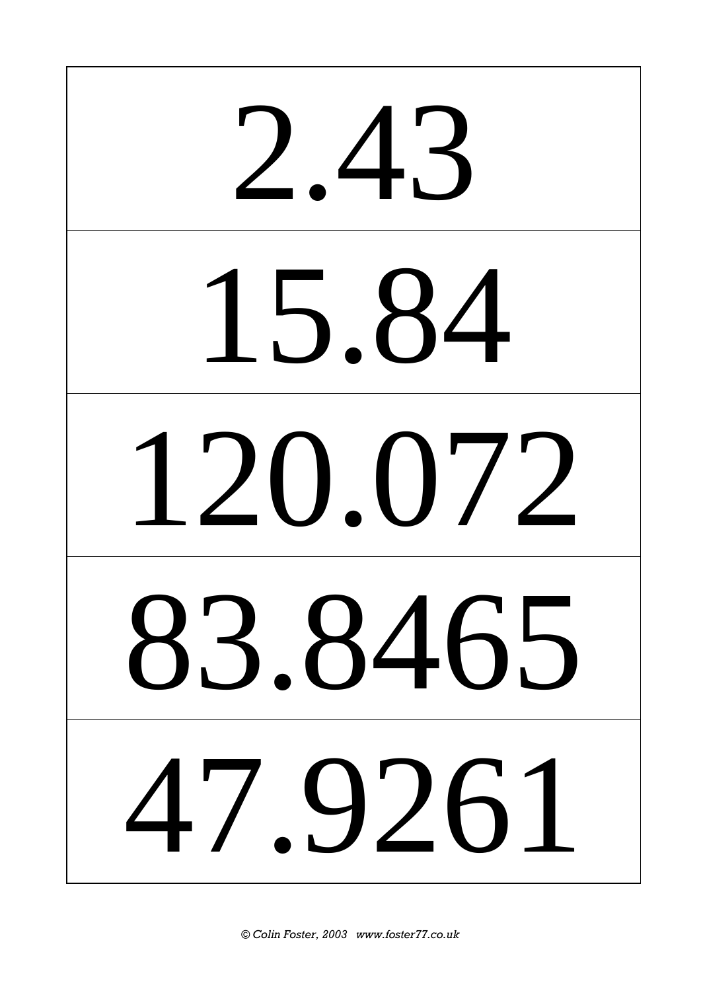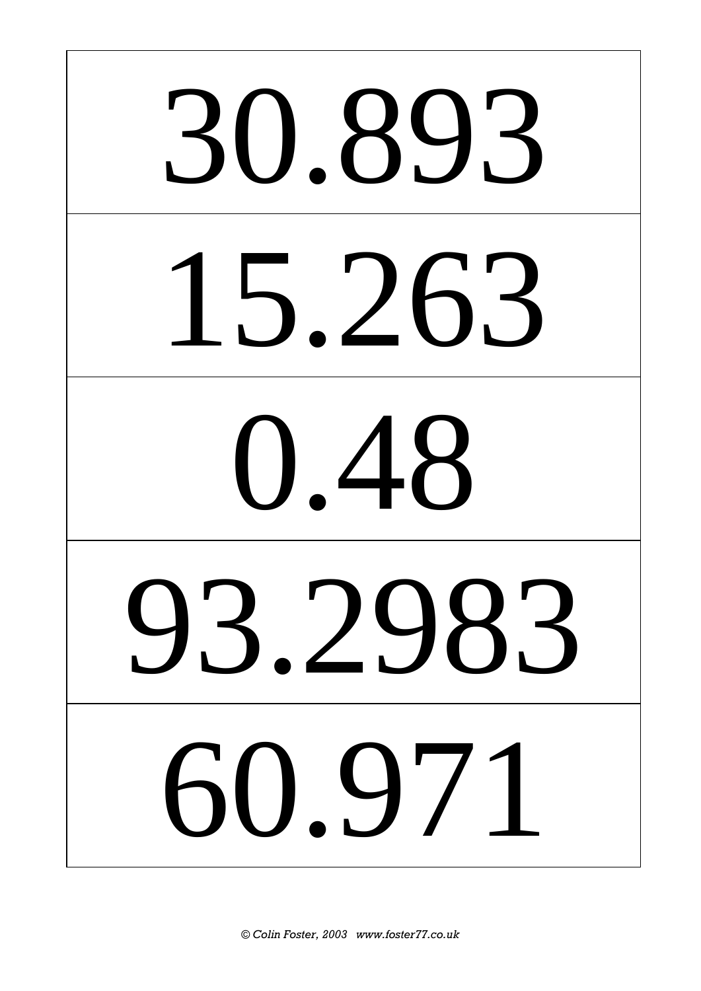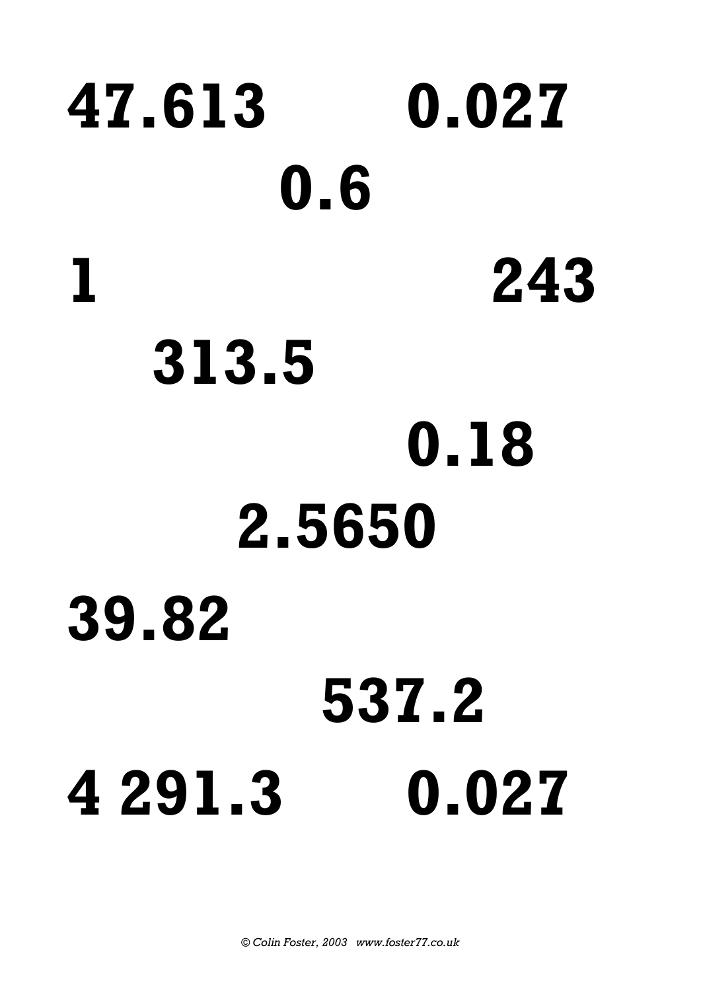# **47.613 0.027 0.6 1 243 313.5 0.18 2.5650 39.82 537.2 4 291.3 0.027**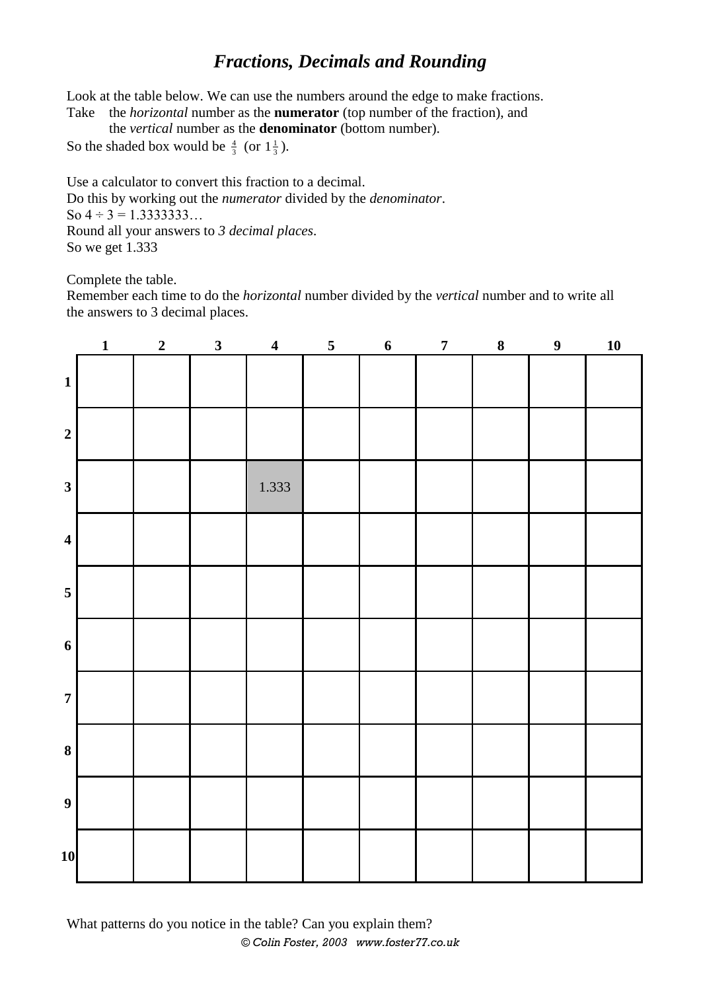## *Fractions, Decimals and Rounding*

Look at the table below. We can use the numbers around the edge to make fractions.

Take the *horizontal* number as the **numerator** (top number of the fraction), and the *vertical* number as the **denominator** (bottom number).

So the shaded box would be  $\frac{4}{3}$  (or  $1\frac{1}{3}$ ).

Use a calculator to convert this fraction to a decimal. Do this by working out the *numerator* divided by the *denominator*. So  $4 \div 3 = 1.33333333...$ Round all your answers to *3 decimal places*. So we get 1.333

Complete the table.

Remember each time to do the *horizontal* number divided by the *vertical* number and to write all the answers to 3 decimal places.

|                         | $\mathbf{1}$ | $\overline{2}$ | $\overline{\mathbf{3}}$ | $\overline{\mathbf{4}}$ | $\overline{\mathbf{5}}$ | $6 \nightharpoonup$ | $\overline{7}$ | $\boldsymbol{8}$ | 9 | <u>10</u> |
|-------------------------|--------------|----------------|-------------------------|-------------------------|-------------------------|---------------------|----------------|------------------|---|-----------|
| $\mathbf{1}$            |              |                |                         |                         |                         |                     |                |                  |   |           |
| $\boldsymbol{2}$        |              |                |                         |                         |                         |                     |                |                  |   |           |
| $\overline{\mathbf{3}}$ |              |                |                         | 1.333                   |                         |                     |                |                  |   |           |
| $\overline{\mathbf{4}}$ |              |                |                         |                         |                         |                     |                |                  |   |           |
| $5\overline{)}$         |              |                |                         |                         |                         |                     |                |                  |   |           |
| $\boldsymbol{6}$        |              |                |                         |                         |                         |                     |                |                  |   |           |
| $\boldsymbol{7}$        |              |                |                         |                         |                         |                     |                |                  |   |           |
| $\bf{8}$                |              |                |                         |                         |                         |                     |                |                  |   |           |
| $\boldsymbol{9}$        |              |                |                         |                         |                         |                     |                |                  |   |           |
| $10\,$                  |              |                |                         |                         |                         |                     |                |                  |   |           |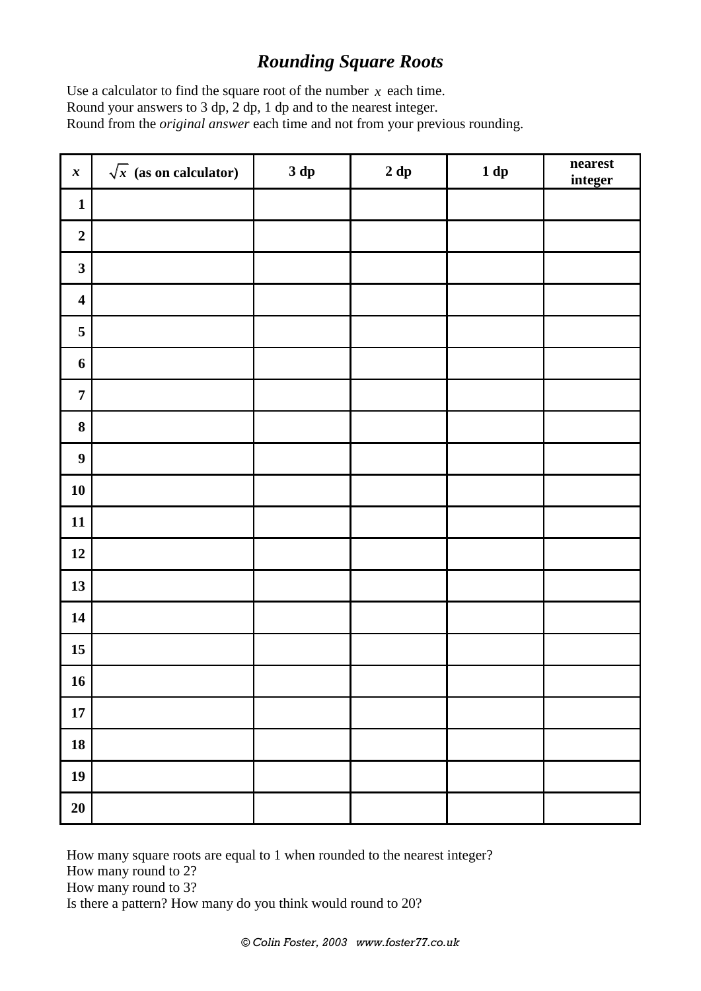## *Rounding Square Roots*

Use a calculator to find the square root of the number  $x$  each time. Round your answers to 3 dp, 2 dp, 1 dp and to the nearest integer. Round from the *original answer* each time and not from your previous rounding.

| $\boldsymbol{x}$        | $\sqrt{x}$ (as on calculator) | 3 dp | $2\ \mathrm{dp}$ | $1 dp$ | nearest<br>integer |
|-------------------------|-------------------------------|------|------------------|--------|--------------------|
| $\mathbf{1}$            |                               |      |                  |        |                    |
| $\boldsymbol{2}$        |                               |      |                  |        |                    |
| $\mathbf{3}$            |                               |      |                  |        |                    |
| $\overline{\mathbf{4}}$ |                               |      |                  |        |                    |
| $\sqrt{5}$              |                               |      |                  |        |                    |
| $\boldsymbol{6}$        |                               |      |                  |        |                    |
| $\boldsymbol{7}$        |                               |      |                  |        |                    |
| $\bf{8}$                |                               |      |                  |        |                    |
| $\boldsymbol{9}$        |                               |      |                  |        |                    |
| ${\bf 10}$              |                               |      |                  |        |                    |
| 11                      |                               |      |                  |        |                    |
| 12                      |                               |      |                  |        |                    |
| 13                      |                               |      |                  |        |                    |
| 14                      |                               |      |                  |        |                    |
| $15\,$                  |                               |      |                  |        |                    |
| 16                      |                               |      |                  |        |                    |
| $17\,$                  |                               |      |                  |        |                    |
| 18                      |                               |      |                  |        |                    |
| 19                      |                               |      |                  |        |                    |
| 20                      |                               |      |                  |        |                    |

How many square roots are equal to 1 when rounded to the nearest integer? How many round to 2? How many round to 3?

Is there a pattern? How many do you think would round to 20?